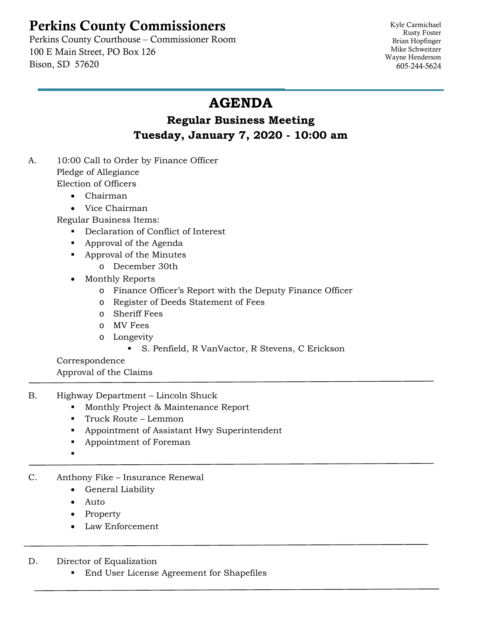## Perkins County Commissioners

 Perkins County Courthouse – Commissioner Room 100 E Main Street, PO Box 126 Bison, SD 57620

Kyle Carmichael Rusty Foster Brian Hopfinger Mike Schweitzer Wayne Henderson 605-244-5624

## **AGENDA**

## **Regular Business Meeting Tuesday, January 7, 2020 - 10:00 am**

- A. 10:00 Call to Order by Finance Officer Pledge of Allegiance Election of Officers
	- Chairman
	- Vice Chairman

Regular Business Items:

- Declaration of Conflict of Interest
- Approval of the Agenda
- Approval of the Minutes
	- o December 30th
- Monthly Reports
	- o Finance Officer's Report with the Deputy Finance Officer
	- o Register of Deeds Statement of Fees
	- o Sheriff Fees
	- o MV Fees
	- o Longevity
		- S. Penfield, R VanVactor, R Stevens, C Erickson

Correspondence Approval of the Claims

- B. Highway Department Lincoln Shuck
	- **Monthly Project & Maintenance Report**
	- Truck Route Lemmon
	- **Appointment of Assistant Hwy Superintendent**
	- Appointment of Foreman
	- .
- C. Anthony Fike Insurance Renewal
	- General Liability
	- Auto
	- Property
	- Law Enforcement
- D. Director of Equalization
	- **End User License Agreement for Shapefiles**